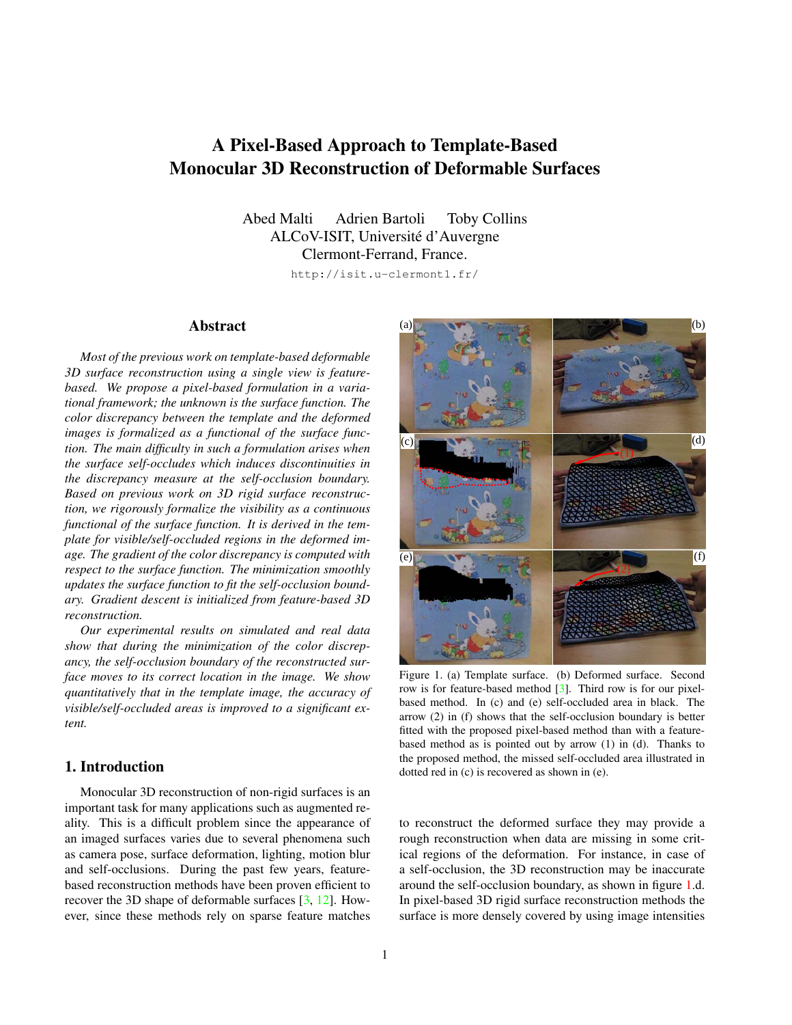# <span id="page-0-1"></span>A Pixel-Based Approach to Template-Based Monocular 3D Reconstruction of Deformable Surfaces

Abed Malti Adrien Bartoli Toby Collins ALCoV-ISIT, Universite d'Auvergne ´ Clermont-Ferrand, France.

http://isit.u-clermont1.fr/

## Abstract

*Most of the previous work on template-based deformable 3D surface reconstruction using a single view is featurebased. We propose a pixel-based formulation in a variational framework; the unknown is the surface function. The color discrepancy between the template and the deformed images is formalized as a functional of the surface function. The main difficulty in such a formulation arises when the surface self-occludes which induces discontinuities in the discrepancy measure at the self-occlusion boundary. Based on previous work on 3D rigid surface reconstruction, we rigorously formalize the visibility as a continuous functional of the surface function. It is derived in the template for visible/self-occluded regions in the deformed image. The gradient of the color discrepancy is computed with respect to the surface function. The minimization smoothly updates the surface function to fit the self-occlusion boundary. Gradient descent is initialized from feature-based 3D reconstruction.*

*Our experimental results on simulated and real data show that during the minimization of the color discrepancy, the self-occlusion boundary of the reconstructed surface moves to its correct location in the image. We show quantitatively that in the template image, the accuracy of visible/self-occluded areas is improved to a significant extent.*

## <span id="page-0-0"></span>1. Introduction

Monocular 3D reconstruction of non-rigid surfaces is an important task for many applications such as augmented reality. This is a difficult problem since the appearance of an imaged surfaces varies due to several phenomena such as camera pose, surface deformation, lighting, motion blur and self-occlusions. During the past few years, featurebased reconstruction methods have been proven efficient to recover the 3D shape of deformable surfaces [\[3,](#page-5-0) [12\]](#page-7-0). However, since these methods rely on sparse feature matches



Figure 1. (a) Template surface. (b) Deformed surface. Second row is for feature-based method [\[3\]](#page-5-0). Third row is for our pixelbased method. In (c) and (e) self-occluded area in black. The arrow (2) in (f) shows that the self-occlusion boundary is better fitted with the proposed pixel-based method than with a featurebased method as is pointed out by arrow (1) in (d). Thanks to the proposed method, the missed self-occluded area illustrated in dotted red in (c) is recovered as shown in (e).

to reconstruct the deformed surface they may provide a rough reconstruction when data are missing in some critical regions of the deformation. For instance, in case of a self-occlusion, the 3D reconstruction may be inaccurate around the self-occlusion boundary, as shown in figure [1.](#page-0-0)d. In pixel-based 3D rigid surface reconstruction methods the surface is more densely covered by using image intensities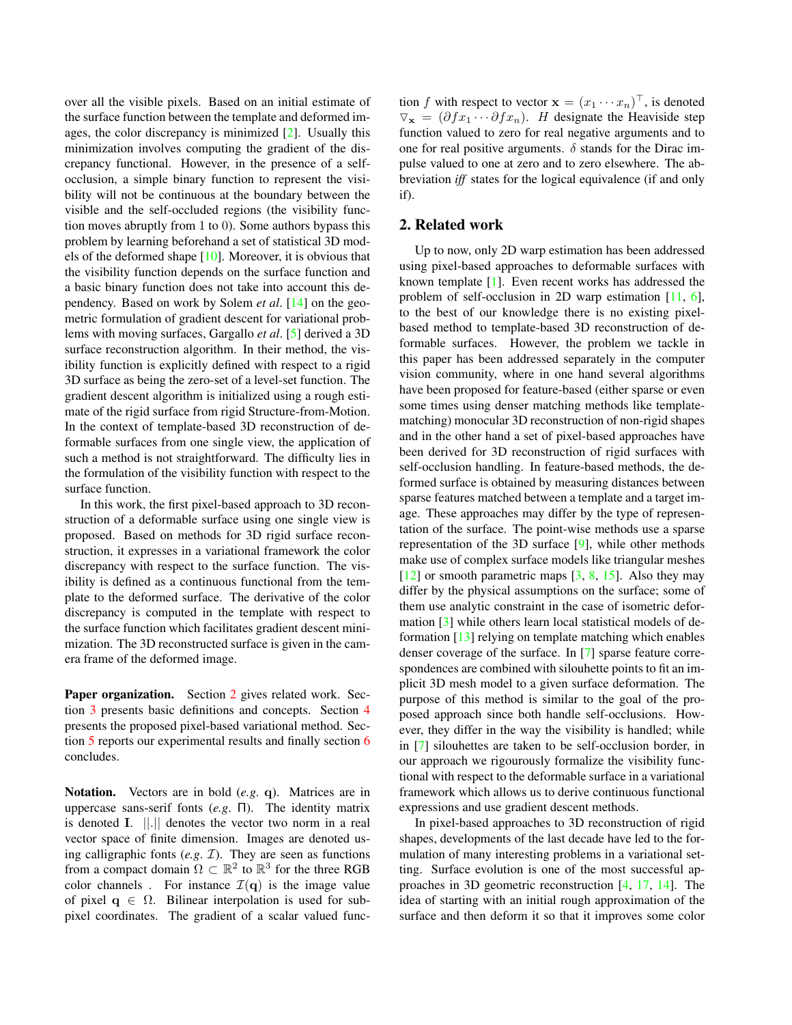<span id="page-1-1"></span>over all the visible pixels. Based on an initial estimate of the surface function between the template and deformed images, the color discrepancy is minimized [\[2\]](#page-5-1). Usually this minimization involves computing the gradient of the discrepancy functional. However, in the presence of a selfocclusion, a simple binary function to represent the visibility will not be continuous at the boundary between the visible and the self-occluded regions (the visibility function moves abruptly from 1 to 0). Some authors bypass this problem by learning beforehand a set of statistical 3D models of the deformed shape [\[10\]](#page-7-1). Moreover, it is obvious that the visibility function depends on the surface function and a basic binary function does not take into account this dependency. Based on work by Solem *et al*. [\[14\]](#page-7-2) on the geometric formulation of gradient descent for variational problems with moving surfaces, Gargallo *et al*. [\[5\]](#page-6-0) derived a 3D surface reconstruction algorithm. In their method, the visibility function is explicitly defined with respect to a rigid 3D surface as being the zero-set of a level-set function. The gradient descent algorithm is initialized using a rough estimate of the rigid surface from rigid Structure-from-Motion. In the context of template-based 3D reconstruction of deformable surfaces from one single view, the application of such a method is not straightforward. The difficulty lies in the formulation of the visibility function with respect to the surface function.

In this work, the first pixel-based approach to 3D reconstruction of a deformable surface using one single view is proposed. Based on methods for 3D rigid surface reconstruction, it expresses in a variational framework the color discrepancy with respect to the surface function. The visibility is defined as a continuous functional from the template to the deformed surface. The derivative of the color discrepancy is computed in the template with respect to the surface function which facilitates gradient descent minimization. The 3D reconstructed surface is given in the camera frame of the deformed image.

Paper organization. Section [2](#page-1-0) gives related work. Section [3](#page-2-0) presents basic definitions and concepts. Section [4](#page-2-1) presents the proposed pixel-based variational method. Section [5](#page-5-2) reports our experimental results and finally section [6](#page-5-3) concludes.

Notation. Vectors are in bold (*e.g*. q). Matrices are in uppercase sans-serif fonts (*e.g*. Π). The identity matrix is denoted I. ||.|| denotes the vector two norm in a real vector space of finite dimension. Images are denoted using calligraphic fonts  $(e.g. \mathcal{I})$ . They are seen as functions from a compact domain  $\Omega \subset \mathbb{R}^2$  to  $\mathbb{R}^3$  for the three RGB color channels. For instance  $\mathcal{I}(\mathbf{q})$  is the image value of pixel  $q \in \Omega$ . Bilinear interpolation is used for subpixel coordinates. The gradient of a scalar valued func-

tion f with respect to vector  $\mathbf{x} = (x_1 \cdots x_n)^\top$ , is denoted  $\nabla_{\mathbf{x}} = (\partial f x_1 \cdots \partial f x_n)$ . *H* designate the Heaviside step function valued to zero for real negative arguments and to one for real positive arguments.  $\delta$  stands for the Dirac impulse valued to one at zero and to zero elsewhere. The abbreviation *iff* states for the logical equivalence (if and only if).

#### <span id="page-1-0"></span>2. Related work

Up to now, only 2D warp estimation has been addressed using pixel-based approaches to deformable surfaces with known template [\[1\]](#page-5-4). Even recent works has addressed the problem of self-occlusion in 2D warp estimation [\[11,](#page-7-3) [6\]](#page-6-1), to the best of our knowledge there is no existing pixelbased method to template-based 3D reconstruction of deformable surfaces. However, the problem we tackle in this paper has been addressed separately in the computer vision community, where in one hand several algorithms have been proposed for feature-based (either sparse or even some times using denser matching methods like templatematching) monocular 3D reconstruction of non-rigid shapes and in the other hand a set of pixel-based approaches have been derived for 3D reconstruction of rigid surfaces with self-occlusion handling. In feature-based methods, the deformed surface is obtained by measuring distances between sparse features matched between a template and a target image. These approaches may differ by the type of representation of the surface. The point-wise methods use a sparse representation of the 3D surface [\[9\]](#page-7-4), while other methods make use of complex surface models like triangular meshes  $[12]$  or smooth parametric maps  $[3, 8, 15]$  $[3, 8, 15]$  $[3, 8, 15]$  $[3, 8, 15]$  $[3, 8, 15]$ . Also they may differ by the physical assumptions on the surface; some of them use analytic constraint in the case of isometric deformation [\[3\]](#page-5-0) while others learn local statistical models of deformation [\[13\]](#page-7-6) relying on template matching which enables denser coverage of the surface. In [\[7\]](#page-6-3) sparse feature correspondences are combined with silouhette points to fit an implicit 3D mesh model to a given surface deformation. The purpose of this method is similar to the goal of the proposed approach since both handle self-occlusions. However, they differ in the way the visibility is handled; while in [\[7\]](#page-6-3) silouhettes are taken to be self-occlusion border, in our approach we rigourously formalize the visibility functional with respect to the deformable surface in a variational framework which allows us to derive continuous functional expressions and use gradient descent methods.

In pixel-based approaches to 3D reconstruction of rigid shapes, developments of the last decade have led to the formulation of many interesting problems in a variational setting. Surface evolution is one of the most successful approaches in 3D geometric reconstruction [\[4,](#page-6-4) [17,](#page-7-7) [14\]](#page-7-2). The idea of starting with an initial rough approximation of the surface and then deform it so that it improves some color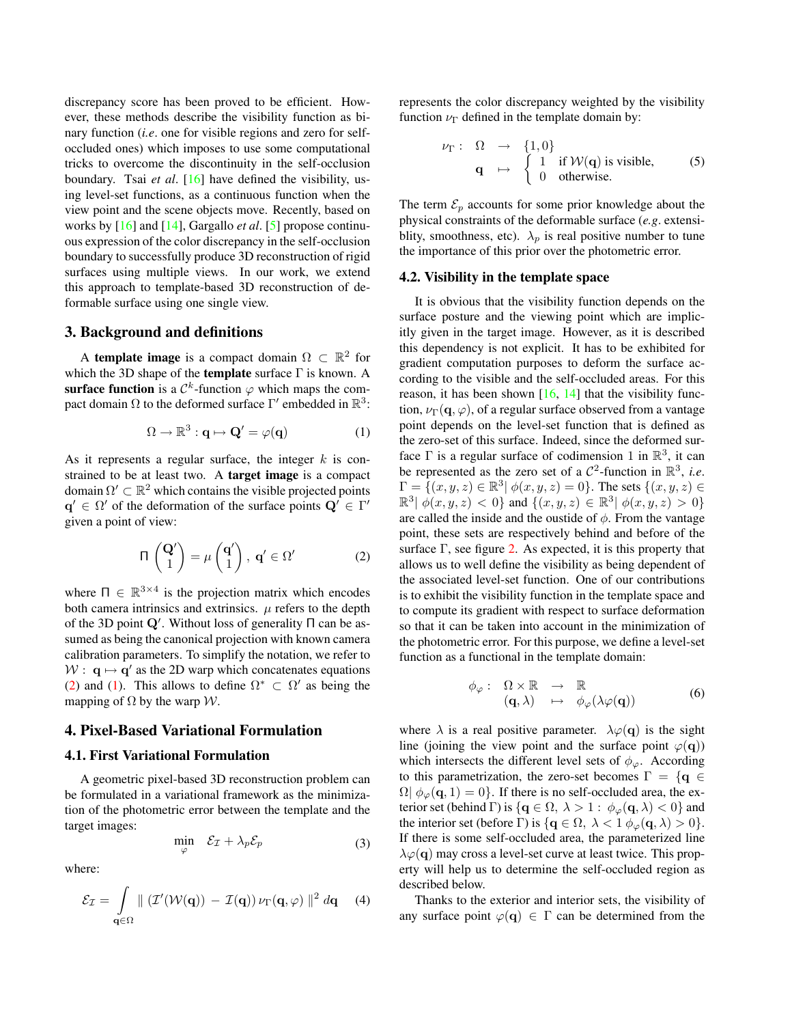<span id="page-2-5"></span>discrepancy score has been proved to be efficient. However, these methods describe the visibility function as binary function (*i.e*. one for visible regions and zero for selfoccluded ones) which imposes to use some computational tricks to overcome the discontinuity in the self-occlusion boundary. Tsai *et al*. [\[16\]](#page-7-8) have defined the visibility, using level-set functions, as a continuous function when the view point and the scene objects move. Recently, based on works by [\[16\]](#page-7-8) and [\[14\]](#page-7-2), Gargallo *et al*. [\[5\]](#page-6-0) propose continuous expression of the color discrepancy in the self-occlusion boundary to successfully produce 3D reconstruction of rigid surfaces using multiple views. In our work, we extend this approach to template-based 3D reconstruction of deformable surface using one single view.

#### <span id="page-2-0"></span>3. Background and definitions

A template image is a compact domain  $\Omega \subset \mathbb{R}^2$  for which the 3D shape of the **template** surface  $\Gamma$  is known. A surface function is a  $\mathcal{C}^k$ -function  $\varphi$  which maps the compact domain  $\Omega$  to the deformed surface  $\Gamma'$  embedded in  $\mathbb{R}^3$ :

<span id="page-2-3"></span>
$$
\Omega \to \mathbb{R}^3 : \mathbf{q} \mapsto \mathbf{Q}' = \varphi(\mathbf{q}) \tag{1}
$$

As it represents a regular surface, the integer  $k$  is constrained to be at least two. A target image is a compact domain  $\Omega' \subset \mathbb{R}^2$  which contains the visible projected points  $\mathbf{q}' \in \Omega'$  of the deformation of the surface points  $\mathbf{Q}' \in \Gamma'$ given a point of view:

<span id="page-2-2"></span>
$$
\Pi\begin{pmatrix} \mathbf{Q}' \\ 1 \end{pmatrix} = \mu\begin{pmatrix} \mathbf{q}' \\ 1 \end{pmatrix}, \ \mathbf{q}' \in \Omega'
$$
 (2)

where  $\Pi \in \mathbb{R}^{3 \times 4}$  is the projection matrix which encodes both camera intrinsics and extrinsics.  $\mu$  refers to the depth of the 3D point  $Q'$ . Without loss of generality  $\Pi$  can be assumed as being the canonical projection with known camera calibration parameters. To simplify the notation, we refer to  $W: \mathbf{q} \mapsto \mathbf{q}'$  as the 2D warp which concatenates equations [\(2\)](#page-2-2) and [\(1\)](#page-2-3). This allows to define  $\Omega^* \subset \Omega'$  as being the mapping of  $\Omega$  by the warp W.

### <span id="page-2-1"></span>4. Pixel-Based Variational Formulation

## 4.1. First Variational Formulation

A geometric pixel-based 3D reconstruction problem can be formulated in a variational framework as the minimization of the photometric error between the template and the target images:

$$
\min_{\varphi} \quad \mathcal{E}_{\mathcal{I}} + \lambda_p \mathcal{E}_p \tag{3}
$$

where:

<span id="page-2-4"></span>
$$
\mathcal{E}_{\mathcal{I}} = \int_{\mathbf{q} \in \Omega} \| (\mathcal{I}'(\mathcal{W}(\mathbf{q})) - \mathcal{I}(\mathbf{q})) \nu_{\Gamma}(\mathbf{q}, \varphi) \|^2 d\mathbf{q} \qquad (4)
$$

represents the color discrepancy weighted by the visibility function  $\nu_{\Gamma}$  defined in the template domain by:

$$
\nu_{\Gamma}: \Omega \rightarrow \{1,0\}
$$
  
\n
$$
\mathbf{q} \mapsto \begin{cases} 1 & \text{if } \mathcal{W}(\mathbf{q}) \text{ is visible,} \\ 0 & \text{otherwise.} \end{cases}
$$
 (5)

The term  $\mathcal{E}_p$  accounts for some prior knowledge about the physical constraints of the deformable surface (*e.g*. extensiblity, smoothness, etc).  $\lambda_p$  is real positive number to tune the importance of this prior over the photometric error.

#### 4.2. Visibility in the template space

It is obvious that the visibility function depends on the surface posture and the viewing point which are implicitly given in the target image. However, as it is described this dependency is not explicit. It has to be exhibited for gradient computation purposes to deform the surface according to the visible and the self-occluded areas. For this reason, it has been shown  $[16, 14]$  $[16, 14]$  $[16, 14]$  that the visibility function,  $\nu_{\Gamma}(\mathbf{q}, \varphi)$ , of a regular surface observed from a vantage point depends on the level-set function that is defined as the zero-set of this surface. Indeed, since the deformed surface  $\Gamma$  is a regular surface of codimension 1 in  $\mathbb{R}^3$ , it can be represented as the zero set of a  $C^2$ -function in  $\mathbb{R}^3$ , *i.e.*  $\Gamma = \{ (x, y, z) \in \mathbb{R}^3 \mid \phi(x, y, z) = 0 \}.$  The sets  $\{ (x, y, z) \in \mathbb{R}^3 \}$  $\mathbb{R}^3 \mid \phi(x, y, z) < 0$ } and  $\{(x, y, z) \in \mathbb{R}^3 \mid \phi(x, y, z) > 0\}$ are called the inside and the oustide of  $\phi$ . From the vantage point, these sets are respectively behind and before of the surface  $\Gamma$ , see figure [2.](#page-3-0) As expected, it is this property that allows us to well define the visibility as being dependent of the associated level-set function. One of our contributions is to exhibit the visibility function in the template space and to compute its gradient with respect to surface deformation so that it can be taken into account in the minimization of the photometric error. For this purpose, we define a level-set function as a functional in the template domain:

$$
\phi_{\varphi}: \Omega \times \mathbb{R} \to \mathbb{R} \n(\mathbf{q}, \lambda) \mapsto \phi_{\varphi}(\lambda \varphi(\mathbf{q}))
$$
\n(6)

where  $\lambda$  is a real positive parameter.  $\lambda \varphi(\mathbf{q})$  is the sight line (joining the view point and the surface point  $\varphi(\mathbf{q})$ ) which intersects the different level sets of  $\phi_{\varphi}$ . According to this parametrization, the zero-set becomes  $\Gamma = \{q \in \mathbb{R}^n\}$  $\Omega|\phi_{\varphi}(\mathbf{q},1)=0\}$ . If there is no self-occluded area, the exterior set (behind Γ) is  $\{ \mathbf{q} \in \Omega, \ \lambda > 1 : \phi_{\varphi}(\mathbf{q}, \lambda) < 0 \}$  and the interior set (before Γ) is  $\{q \in \Omega, \lambda < 1 \phi_{\varphi}(q, \lambda) > 0\}.$ If there is some self-occluded area, the parameterized line  $\lambda \varphi(\mathbf{q})$  may cross a level-set curve at least twice. This property will help us to determine the self-occluded region as described below.

Thanks to the exterior and interior sets, the visibility of any surface point  $\varphi(q) \in \Gamma$  can be determined from the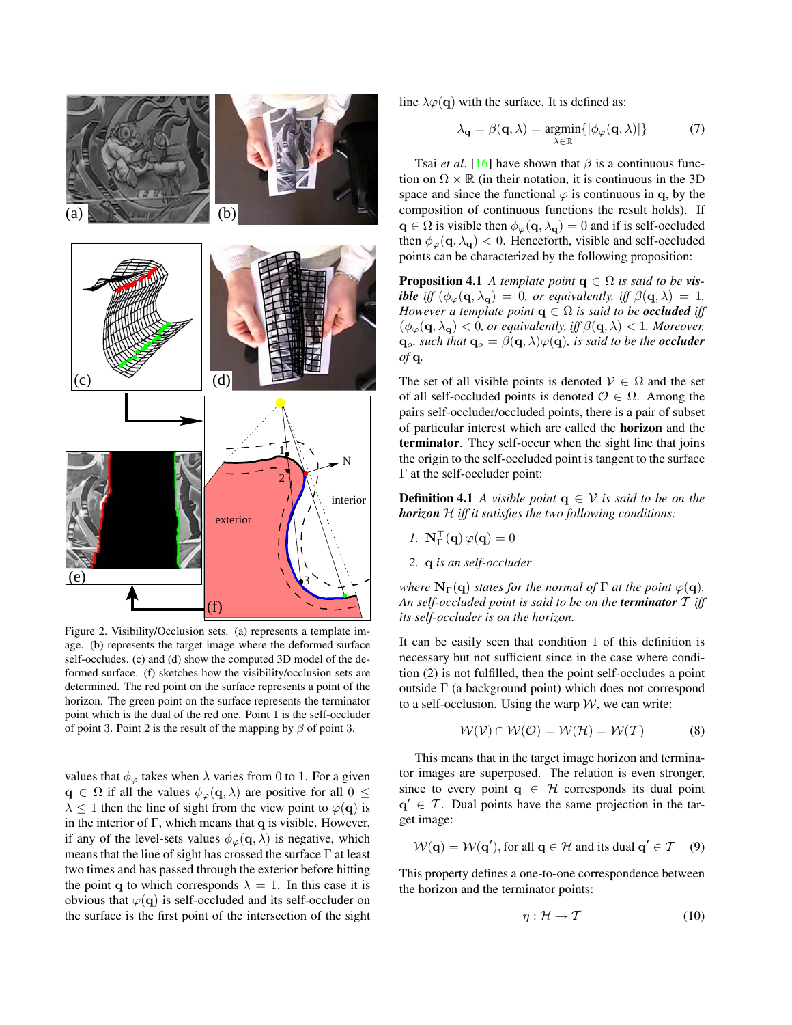<span id="page-3-3"></span>

<span id="page-3-0"></span>Figure 2. Visibility/Occlusion sets. (a) represents a template image. (b) represents the target image where the deformed surface self-occludes. (c) and (d) show the computed 3D model of the deformed surface. (f) sketches how the visibility/occlusion sets are determined. The red point on the surface represents a point of the horizon. The green point on the surface represents the terminator point which is the dual of the red one. Point 1 is the self-occluder of point 3. Point 2 is the result of the mapping by  $\beta$  of point 3.

values that  $\phi_{\varphi}$  takes when  $\lambda$  varies from 0 to 1. For a given  $\mathbf{q} \in \Omega$  if all the values  $\phi_{\varphi}(\mathbf{q}, \lambda)$  are positive for all  $0 \leq$  $\lambda \leq 1$  then the line of sight from the view point to  $\varphi(\mathbf{q})$  is in the interior of  $\Gamma$ , which means that q is visible. However, if any of the level-sets values  $\phi_{\varphi}(\mathbf{q}, \lambda)$  is negative, which means that the line of sight has crossed the surface Γ at least two times and has passed through the exterior before hitting the point q to which corresponds  $\lambda = 1$ . In this case it is obvious that  $\varphi(q)$  is self-occluded and its self-occluder on the surface is the first point of the intersection of the sight line  $\lambda \varphi(\mathbf{q})$  with the surface. It is defined as:

$$
\lambda_{\mathbf{q}} = \beta(\mathbf{q}, \lambda) = \underset{\lambda \in \mathbb{R}}{\operatorname{argmin}} \{ |\phi_{\varphi}(\mathbf{q}, \lambda)| \}
$$
(7)

Tsai *et al.* [\[16\]](#page-7-8) have shown that  $\beta$  is a continuous function on  $\Omega \times \mathbb{R}$  (in their notation, it is continuous in the 3D space and since the functional  $\varphi$  is continuous in q, by the composition of continuous functions the result holds). If  $\mathbf{q} \in \Omega$  is visible then  $\phi_{\varphi}(\mathbf{q}, \lambda_{\mathbf{q}}) = 0$  and if is self-occluded then  $\phi_{\varphi}(\mathbf{q}, \lambda_{\mathbf{q}}) < 0$ . Henceforth, visible and self-occluded points can be characterized by the following proposition:

**Proposition 4.1** *A template point*  $q \in \Omega$  *is said to be visible iff*  $(\phi_{\varphi}(\mathbf{q}, \lambda_{\mathbf{q}})) = 0$ , or equivalently, iff  $\beta(\mathbf{q}, \lambda) = 1$ . *However a template point*  $q \in \Omega$  *is said to be occluded iff*  $(\phi_{\varphi}(\mathbf{q}, \lambda_{\mathbf{q}}) < 0$ , or equivalently, iff  $\beta(\mathbf{q}, \lambda) < 1$ . Moreover,  $\mathbf{q}_o$ *, such that*  $\mathbf{q}_o = \beta(\mathbf{q}, \lambda) \varphi(\mathbf{q})$ *, is said to be the occluder of* q*.*

The set of all visible points is denoted  $V \in \Omega$  and the set of all self-occluded points is denoted  $\mathcal{O} \in \Omega$ . Among the pairs self-occluder/occluded points, there is a pair of subset of particular interest which are called the horizon and the terminator. They self-occur when the sight line that joins the origin to the self-occluded point is tangent to the surface Γ at the self-occluder point:

<span id="page-3-2"></span>**Definition 4.1** *A visible point*  $q \in V$  *is said to be on the horizon* H *iff it satisfies the two following conditions:*

- *1.*  $\mathbf{N}_{\Gamma}^{\top}(\mathbf{q}) \varphi(\mathbf{q}) = 0$
- *2.* q *is an self-occluder*

*where*  $N_{\Gamma}(\mathbf{q})$  *states for the normal of*  $\Gamma$  *at the point*  $\varphi(\mathbf{q})$ *. An self-occluded point is said to be on the terminator* T *iff its self-occluder is on the horizon.*

It can be easily seen that condition 1 of this definition is necessary but not sufficient since in the case where condition (2) is not fulfilled, then the point self-occludes a point outside Γ (a background point) which does not correspond to a self-occlusion. Using the warp  $W$ , we can write:

$$
W(V) \cap W(O) = W(H) = W(T)
$$
 (8)

This means that in the target image horizon and terminator images are superposed. The relation is even stronger, since to every point  $q \in H$  corresponds its dual point  $q' \in \mathcal{T}$ . Dual points have the same projection in the target image:

$$
W(\mathbf{q}) = W(\mathbf{q}'),
$$
 for all  $\mathbf{q} \in \mathcal{H}$  and its dual  $\mathbf{q}' \in \mathcal{T}$  (9)

This property defines a one-to-one correspondence between the horizon and the terminator points:

<span id="page-3-1"></span>
$$
\eta: \mathcal{H} \to \mathcal{T} \tag{10}
$$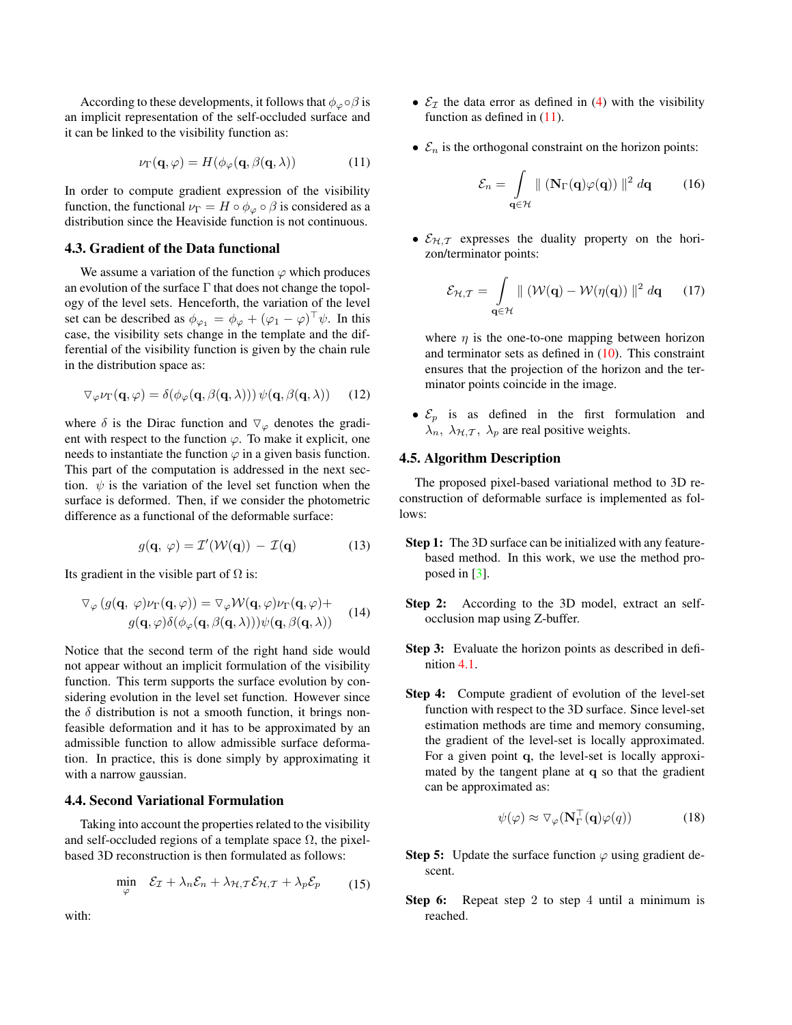<span id="page-4-3"></span>According to these developments, it follows that  $\phi_{\varphi} \circ \beta$  is an implicit representation of the self-occluded surface and it can be linked to the visibility function as:

<span id="page-4-0"></span>
$$
\nu_{\Gamma}(\mathbf{q}, \varphi) = H(\phi_{\varphi}(\mathbf{q}, \beta(\mathbf{q}, \lambda)) \tag{11}
$$

In order to compute gradient expression of the visibility function, the functional  $\nu_{\Gamma} = H \circ \phi_{\varphi} \circ \beta$  is considered as a distribution since the Heaviside function is not continuous.

#### 4.3. Gradient of the Data functional

We assume a variation of the function  $\varphi$  which produces an evolution of the surface  $\Gamma$  that does not change the topology of the level sets. Henceforth, the variation of the level set can be described as  $\phi_{\varphi_1} = \phi_{\varphi} + (\varphi_1 - \varphi)^{\top} \psi$ . In this case, the visibility sets change in the template and the differential of the visibility function is given by the chain rule in the distribution space as:

$$
\nabla_{\varphi} \nu_{\Gamma}(\mathbf{q}, \varphi) = \delta(\phi_{\varphi}(\mathbf{q}, \beta(\mathbf{q}, \lambda))) \psi(\mathbf{q}, \beta(\mathbf{q}, \lambda)) \qquad (12)
$$

where  $\delta$  is the Dirac function and  $\nabla_{\varphi}$  denotes the gradient with respect to the function  $\varphi$ . To make it explicit, one needs to instantiate the function  $\varphi$  in a given basis function. This part of the computation is addressed in the next section.  $\psi$  is the variation of the level set function when the surface is deformed. Then, if we consider the photometric difference as a functional of the deformable surface:

$$
g(\mathbf{q}, \varphi) = \mathcal{I}'(\mathcal{W}(\mathbf{q})) - \mathcal{I}(\mathbf{q}) \tag{13}
$$

Its gradient in the visible part of  $\Omega$  is:

$$
\nabla_{\varphi} (g(\mathbf{q}, \varphi)\nu_{\Gamma}(\mathbf{q}, \varphi)) = \nabla_{\varphi} \mathcal{W}(\mathbf{q}, \varphi)\nu_{\Gamma}(\mathbf{q}, \varphi) + g(\mathbf{q}, \varphi)\delta(\phi_{\varphi}(\mathbf{q}, \beta(\mathbf{q}, \lambda)))\psi(\mathbf{q}, \beta(\mathbf{q}, \lambda))
$$
(14)

Notice that the second term of the right hand side would not appear without an implicit formulation of the visibility function. This term supports the surface evolution by considering evolution in the level set function. However since the  $\delta$  distribution is not a smooth function, it brings nonfeasible deformation and it has to be approximated by an admissible function to allow admissible surface deformation. In practice, this is done simply by approximating it with a narrow gaussian.

## 4.4. Second Variational Formulation

Taking into account the properties related to the visibility and self-occluded regions of a template space  $\Omega$ , the pixelbased 3D reconstruction is then formulated as follows:

$$
\min_{\varphi} \quad \mathcal{E}_{\mathcal{I}} + \lambda_n \mathcal{E}_n + \lambda_{\mathcal{H}, \mathcal{T}} \mathcal{E}_{\mathcal{H}, \mathcal{T}} + \lambda_p \mathcal{E}_p \tag{15}
$$

with:

- $\mathcal{E}_\tau$  the data error as defined in [\(4\)](#page-2-4) with the visibility function as defined in  $(11)$ .
- $\mathcal{E}_n$  is the orthogonal constraint on the horizon points:

<span id="page-4-1"></span>
$$
\mathcal{E}_n = \int_{\mathbf{q} \in \mathcal{H}} \| (\mathbf{N}_{\Gamma}(\mathbf{q}) \varphi(\mathbf{q})) \|^2 d\mathbf{q} \qquad (16)
$$

•  $\mathcal{E}_{H,T}$  expresses the duality property on the horizon/terminator points:

<span id="page-4-2"></span>
$$
\mathcal{E}_{\mathcal{H},\mathcal{T}} = \int_{\mathbf{q}\in\mathcal{H}} \| (\mathcal{W}(\mathbf{q}) - \mathcal{W}(\eta(\mathbf{q})) \|^2 d\mathbf{q} \qquad (17)
$$

where  $\eta$  is the one-to-one mapping between horizon and terminator sets as defined in  $(10)$ . This constraint ensures that the projection of the horizon and the terminator points coincide in the image.

•  $\mathcal{E}_p$  is as defined in the first formulation and  $\lambda_n$ ,  $\lambda_{\mathcal{H},\mathcal{T}}$ ,  $\lambda_p$  are real positive weights.

## 4.5. Algorithm Description

The proposed pixel-based variational method to 3D reconstruction of deformable surface is implemented as follows:

- Step 1: The 3D surface can be initialized with any featurebased method. In this work, we use the method proposed in [\[3\]](#page-5-0).
- Step 2: According to the 3D model, extract an selfocclusion map using Z-buffer.
- Step 3: Evaluate the horizon points as described in definition [4.1.](#page-3-2)
- Step 4: Compute gradient of evolution of the level-set function with respect to the 3D surface. Since level-set estimation methods are time and memory consuming, the gradient of the level-set is locally approximated. For a given point q, the level-set is locally approximated by the tangent plane at q so that the gradient can be approximated as:

$$
\psi(\varphi) \approx \nabla_{\varphi} (\mathbf{N}_{\Gamma}^{\top}(\mathbf{q})\varphi(q)) \tag{18}
$$

- Step 5: Update the surface function  $\varphi$  using gradient descent.
- **Step 6:** Repeat step 2 to step 4 until a minimum is reached.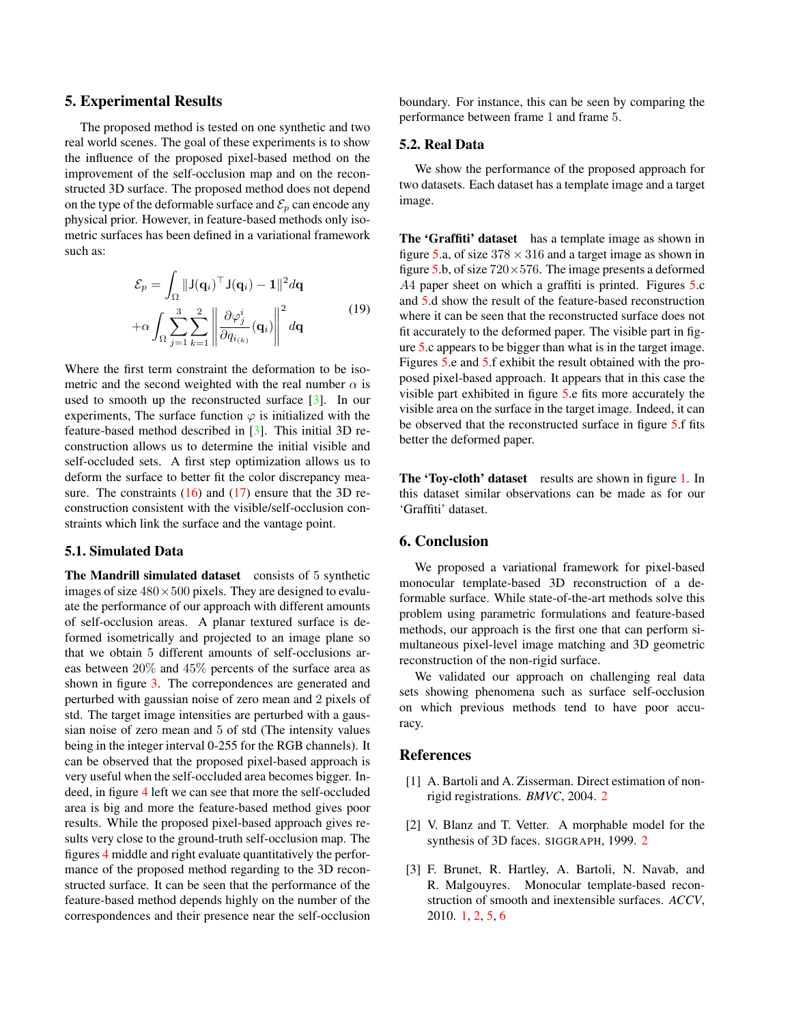## <span id="page-5-2"></span>5. Experimental Results

The proposed method is tested on one synthetic and two real world scenes. The goal of these experiments is to show the influence of the proposed pixel-based method on the improvement of the self-occlusion map and on the reconstructed 3D surface. The proposed method does not depend on the type of the deformable surface and  $\mathcal{E}_p$  can encode any physical prior. However, in feature-based methods only isometric surfaces has been defined in a variational framework such as:

$$
\mathcal{E}_p = \int_{\Omega} ||J(\mathbf{q}_i)^{\top} J(\mathbf{q}_i) - \mathbf{1}||^2 d\mathbf{q}
$$

$$
+ \alpha \int_{\Omega} \sum_{j=1}^3 \sum_{k=1}^2 \left\| \frac{\partial \varphi_j^i}{\partial q_{i_{(k)}}}(\mathbf{q}_i) \right\|^2 d\mathbf{q}
$$
(19)

Where the first term constraint the deformation to be isometric and the second weighted with the real number  $\alpha$  is used to smooth up the reconstructed surface [\[3\]](#page-5-0). In our experiments, The surface function  $\varphi$  is initialized with the feature-based method described in [\[3\]](#page-5-0). This initial 3D reconstruction allows us to determine the initial visible and self-occluded sets. A first step optimization allows us to deform the surface to better fit the color discrepancy measure. The constraints  $(16)$  and  $(17)$  ensure that the 3D reconstruction consistent with the visible/self-occlusion constraints which link the surface and the vantage point.

#### 5.1. Simulated Data

The Mandrill simulated dataset consists of 5 synthetic images of size  $480 \times 500$  pixels. They are designed to evaluate the performance of our approach with different amounts of self-occlusion areas. A planar textured surface is deformed isometrically and projected to an image plane so that we obtain 5 different amounts of self-occlusions areas between 20% and 45% percents of the surface area as shown in figure [3.](#page-6-5) The correpondences are generated and perturbed with gaussian noise of zero mean and 2 pixels of std. The target image intensities are perturbed with a gaussian noise of zero mean and 5 of std (The intensity values being in the integer interval 0-255 for the RGB channels). It can be observed that the proposed pixel-based approach is very useful when the self-occluded area becomes bigger. Indeed, in figure [4](#page-7-9) left we can see that more the self-occluded area is big and more the feature-based method gives poor results. While the proposed pixel-based approach gives results very close to the ground-truth self-occlusion map. The figures [4](#page-7-9) middle and right evaluate quantitatively the performance of the proposed method regarding to the 3D reconstructed surface. It can be seen that the performance of the feature-based method depends highly on the number of the correspondences and their presence near the self-occlusion

boundary. For instance, this can be seen by comparing the performance between frame 1 and frame 5.

#### 5.2. Real Data

We show the performance of the proposed approach for two datasets. Each dataset has a template image and a target image.

The 'Graffiti' dataset has a template image as shown in figure [5.](#page-7-10)a, of size  $378 \times 316$  and a target image as shown in figure [5.](#page-7-10)b, of size  $720 \times 576$ . The image presents a deformed A4 paper sheet on which a graffiti is printed. Figures [5.](#page-7-10)c and [5.](#page-7-10)d show the result of the feature-based reconstruction where it can be seen that the reconstructed surface does not fit accurately to the deformed paper. The visible part in figure [5.](#page-7-10)c appears to be bigger than what is in the target image. Figures [5.](#page-7-10)e and [5.](#page-7-10)f exhibit the result obtained with the proposed pixel-based approach. It appears that in this case the visible part exhibited in figure [5.](#page-7-10)e fits more accurately the visible area on the surface in the target image. Indeed, it can be observed that the reconstructed surface in figure [5.](#page-7-10)f fits better the deformed paper.

The 'Toy-cloth' dataset results are shown in figure [1.](#page-0-0) In this dataset similar observations can be made as for our 'Graffiti' dataset.

## <span id="page-5-3"></span>6. Conclusion

We proposed a variational framework for pixel-based monocular template-based 3D reconstruction of a deformable surface. While state-of-the-art methods solve this problem using parametric formulations and feature-based methods, our approach is the first one that can perform simultaneous pixel-level image matching and 3D geometric reconstruction of the non-rigid surface.

We validated our approach on challenging real data sets showing phenomena such as surface self-occlusion on which previous methods tend to have poor accuracy.

#### References

- <span id="page-5-4"></span>[1] A. Bartoli and A. Zisserman. Direct estimation of nonrigid registrations. *BMVC*, 2004. [2](#page-1-1)
- <span id="page-5-1"></span>[2] V. Blanz and T. Vetter. A morphable model for the synthesis of 3D faces. SIGGRAPH, 1999. [2](#page-1-1)
- <span id="page-5-0"></span>[3] F. Brunet, R. Hartley, A. Bartoli, N. Navab, and R. Malgouyres. Monocular template-based reconstruction of smooth and inextensible surfaces. *ACCV*, 2010. [1,](#page-0-1) [2,](#page-1-1) [5,](#page-4-3) [6](#page-5-2)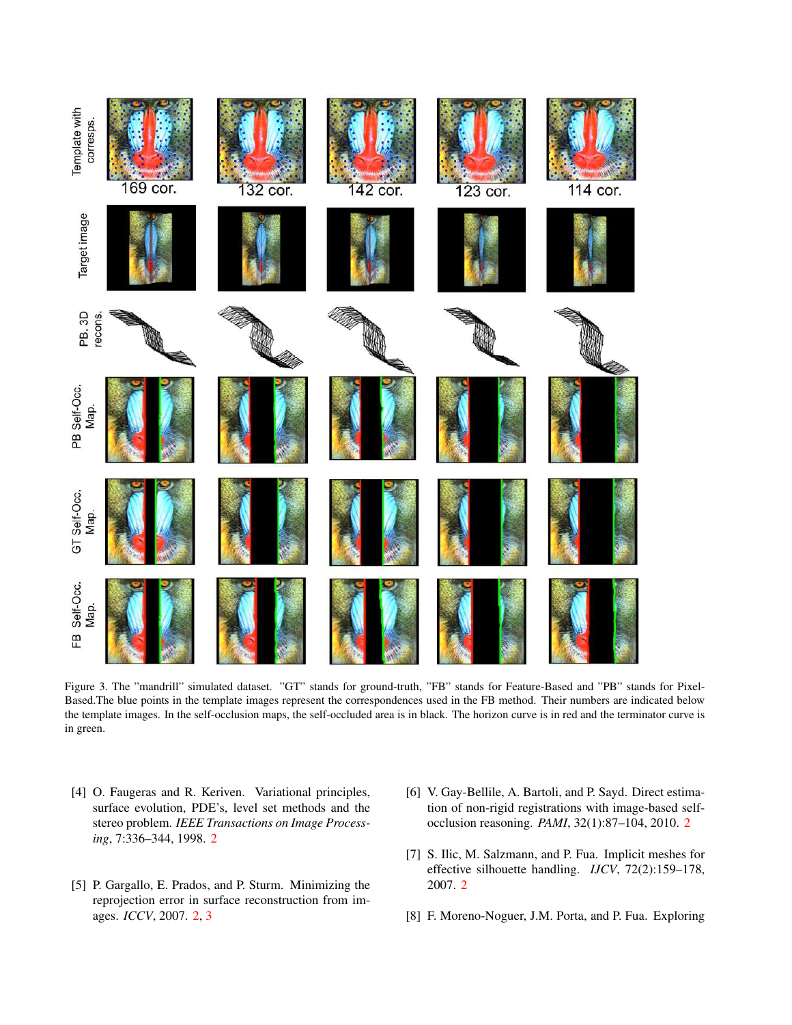

Figure 3. The "mandrill" simulated dataset. "GT" stands for ground-truth, "FB" stands for Feature-Based and "PB" stands for Pixel-Based.The blue points in the template images represent the correspondences used in the FB method. Their numbers are indicated below the template images. In the self-occlusion maps, the self-occluded area is in black. The horizon curve is in red and the terminator curve is in green.

- <span id="page-6-5"></span><span id="page-6-4"></span>[4] O. Faugeras and R. Keriven. Variational principles, surface evolution, PDE's, level set methods and the stereo problem. *IEEE Transactions on Image Processing*, 7:336–344, 1998. [2](#page-1-1)
- <span id="page-6-0"></span>[5] P. Gargallo, E. Prados, and P. Sturm. Minimizing the reprojection error in surface reconstruction from images. *ICCV*, 2007. [2,](#page-1-1) [3](#page-2-5)
- <span id="page-6-1"></span>[6] V. Gay-Bellile, A. Bartoli, and P. Sayd. Direct estimation of non-rigid registrations with image-based selfocclusion reasoning. *PAMI*, 32(1):87–104, 2010. [2](#page-1-1)
- <span id="page-6-3"></span>[7] S. Ilic, M. Salzmann, and P. Fua. Implicit meshes for effective silhouette handling. *IJCV*, 72(2):159–178, 2007. [2](#page-1-1)
- <span id="page-6-2"></span>[8] F. Moreno-Noguer, J.M. Porta, and P. Fua. Exploring